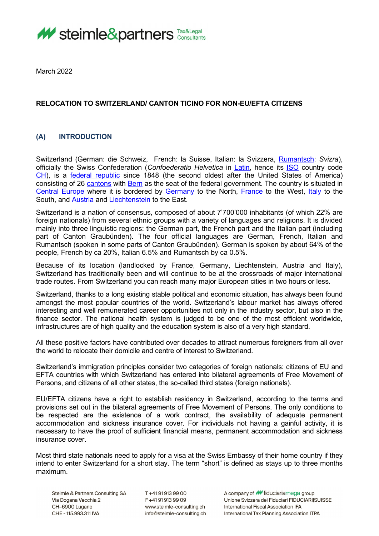

March 2022

# **RELOCATION TO SWITZERLAND/ CANTON TICINO FOR NON-EU/EFTA CITIZENS**

# **(A) INTRODUCTION**

Switzerland (German: die Schweiz, French: la Suisse, Italian: la Svizzera, [Rumantsch:](http://en.wikipedia.org/wiki/Romansh_language) *Svizra*), officially the Swiss Confederation (*Confoederatio Helvetica* in [Latin,](http://en.wikipedia.org/wiki/Latin_language) hence its [ISO](http://en.wikipedia.org/wiki/International_Organization_for_Standardization) country code [CH\)](http://en.wikipedia.org/wiki/Data_codes_for_Switzerland#Country), is a [federal republic](http://en.wikipedia.org/wiki/Federal_republic) since 1848 (the second oldest after the United States of America) consisting of 26 [cantons](http://en.wikipedia.org/wiki/Canton_(administrative_division)) with [Bern](http://en.wikipedia.org/wiki/Bern) as the seat of the federal government. The country is situated in [Central Europe](http://en.wikipedia.org/wiki/Central_Europe) where it is bordered by [Germany](http://en.wikipedia.org/wiki/Germany) to the North, [France](http://en.wikipedia.org/wiki/France) to the West, [Italy](http://en.wikipedia.org/wiki/Italy) to the South, and [Austria](http://en.wikipedia.org/wiki/Austria) and [Liechtenstein](http://en.wikipedia.org/wiki/Liechtenstein) to the East.

Switzerland is a nation of consensus, composed of about 7'700'000 inhabitants (of which 22% are foreign nationals) from several ethnic groups with a variety of languages and religions. It is divided mainly into three linguistic regions: the German part, the French part and the Italian part (including part of Canton Graubünden). The four official languages are German, French, Italian and Rumantsch (spoken in some parts of Canton Graubünden). German is spoken by about 64% of the people, French by ca 20%, Italian 6.5% and Rumantsch by ca 0.5%.

Because of its location (landlocked by France, Germany, Liechtenstein, Austria and Italy), Switzerland has traditionally been and will continue to be at the crossroads of major international trade routes. From Switzerland you can reach many major European cities in two hours or less.

Switzerland, thanks to a long existing stable political and economic situation, has always been found amongst the most popular countries of the world. Switzerland's labour market has always offered interesting and well remunerated career opportunities not only in the industry sector, but also in the finance sector. The national health system is judged to be one of the most efficient worldwide, infrastructures are of high quality and the education system is also of a very high standard.

All these positive factors have contributed over decades to attract numerous foreigners from all over the world to relocate their domicile and centre of interest to Switzerland.

Switzerland's immigration principles consider two categories of foreign nationals: citizens of EU and EFTA countries with which Switzerland has entered into bilateral agreements of Free Movement of Persons, and citizens of all other states, the so-called third states (foreign nationals).

EU/EFTA citizens have a right to establish residency in Switzerland, according to the terms and provisions set out in the bilateral agreements of Free Movement of Persons. The only conditions to be respected are the existence of a work contract, the availability of adequate permanent accommodation and sickness insurance cover. For individuals not having a gainful activity, it is necessary to have the proof of sufficient financial means, permanent accommodation and sickness insurance cover.

Most third state nationals need to apply for a visa at the Swiss Embassy of their home country if they intend to enter Switzerland for a short stay. The term "short" is defined as stays up to three months maximum.

Steimle & Partners Consulting SA Via Dogana Vecchia 2 CH-6900 Lugano CHE-115.993.311 IVA

T+41919139900 F+41919139909 www.steimle-consulting.ch info@steimle-consulting.ch

A company of  $M$  fiduciariamega group Unione Svizzera dei Fiduciari FIDUCIARI|SUISSE International Fiscal Association IFA International Tax Planning Association ITPA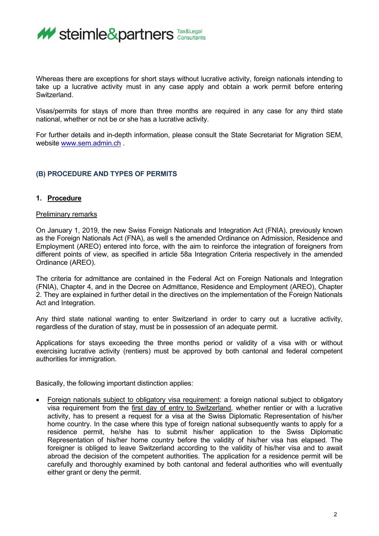

Whereas there are exceptions for short stays without lucrative activity, foreign nationals intending to take up a lucrative activity must in any case apply and obtain a work permit before entering Switzerland.

Visas/permits for stays of more than three months are required in any case for any third state national, whether or not be or she has a lucrative activity.

For further details and in-depth information, please consult the State Secretariat for Migration SEM, website [www.sem.admin.ch](http://www.sem.admin.ch/)

## **(B) PROCEDURE AND TYPES OF PERMITS**

### **1. Procedure**

### Preliminary remarks

On January 1, 2019, the new Swiss Foreign Nationals and Integration Act (FNIA), previously known as the Foreign Nationals Act (FNA), as well s the amended Ordinance on Admission, Residence and Employment (AREO) entered into force, with the aim to reinforce the integration of foreigners from different points of view, as specified in article 58a Integration Criteria respectively in the amended Ordinance (AREO).

The criteria for admittance are contained in the Federal Act on Foreign Nationals and Integration (FNIA), Chapter 4, and in the Decree on Admittance, Residence and Employment (AREO), Chapter 2. They are explained in further detail in the directives on the implementation of the Foreign Nationals Act and Integration.

Any third state national wanting to enter Switzerland in order to carry out a lucrative activity, regardless of the duration of stay, must be in possession of an adequate permit.

Applications for stays exceeding the three months period or validity of a visa with or without exercising lucrative activity (rentiers) must be approved by both cantonal and federal competent authorities for immigration.

Basically, the following important distinction applies:

Foreign nationals subject to obligatory visa requirement: a foreign national subject to obligatory visa requirement from the first day of entry to Switzerland, whether rentier or with a lucrative activity, has to present a request for a visa at the Swiss Diplomatic Representation of his/her home country. In the case where this type of foreign national subsequently wants to apply for a residence permit, he/she has to submit his/her application to the Swiss Diplomatic Representation of his/her home country before the validity of his/her visa has elapsed. The foreigner is obliged to leave Switzerland according to the validity of his/her visa and to await abroad the decision of the competent authorities. The application for a residence permit will be carefully and thoroughly examined by both cantonal and federal authorities who will eventually either grant or deny the permit.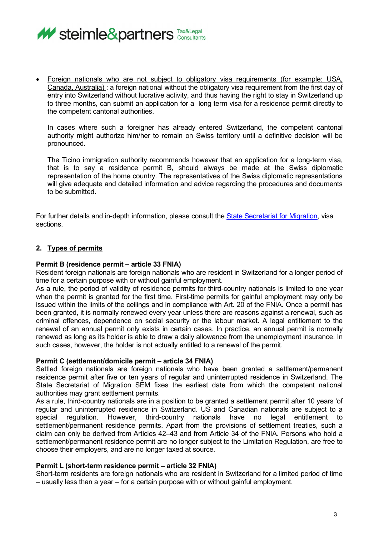

• Foreign nationals who are not subject to obligatory visa requirements (for example: USA, Canada, Australia) : a foreign national without the obligatory visa requirement from the first day of entry into Switzerland without lucrative activity, and thus having the right to stay in Switzerland up to three months, can submit an application for a long term visa for a residence permit directly to the competent cantonal authorities.

In cases where such a foreigner has already entered Switzerland, the competent cantonal authority might authorize him/her to remain on Swiss territory until a definitive decision will be pronounced.

The Ticino immigration authority recommends however that an application for a long-term visa, that is to say a residence permit B, should always be made at the Swiss diplomatic representation of the home country. The representatives of the Swiss diplomatic representations will give adequate and detailed information and advice regarding the procedures and documents to be submitted.

For further details and in-depth information, please consult the [State Secretariat for Migration,](https://www.sem.admin.ch/sem/en/home.html) visa sections.

# **2. Types of permits**

### **Permit B (residence permit – article 33 FNIA)**

Resident foreign nationals are foreign nationals who are resident in Switzerland for a longer period of time for a certain purpose with or without gainful employment.

As a rule, the period of validity of residence permits for third-country nationals is limited to one year when the permit is granted for the first time. First-time permits for gainful employment may only be issued within the limits of the ceilings and in compliance with Art. 20 of the FNIA. Once a permit has been granted, it is normally renewed every year unless there are reasons against a renewal, such as criminal offences, dependence on social security or the labour market. A legal entitlement to the renewal of an annual permit only exists in certain cases. In practice, an annual permit is normally renewed as long as its holder is able to draw a daily allowance from the unemployment insurance. In such cases, however, the holder is not actually entitled to a renewal of the permit.

### **Permit C (settlement/domicile permit – article 34 FNIA)**

Settled foreign nationals are foreign nationals who have been granted a settlement/permanent residence permit after five or ten years of regular and uninterrupted residence in Switzerland. The State Secretariat of Migration SEM fixes the earliest date from which the competent national authorities may grant settlement permits.

As a rule, third-country nationals are in a position to be granted a settlement permit after 10 years 'of regular and uninterrupted residence in Switzerland. US and Canadian nationals are subject to a special regulation. However, third-country nationals have no legal entitlement to settlement/permanent residence permits. Apart from the provisions of settlement treaties, such a claim can only be derived from Articles 42–43 and from Article 34 of the FNIA. Persons who hold a settlement/permanent residence permit are no longer subject to the Limitation Regulation, are free to choose their employers, and are no longer taxed at source.

### **Permit L (short-term residence permit – article 32 FNIA)**

Short-term residents are foreign nationals who are resident in Switzerland for a limited period of time – usually less than a year – for a certain purpose with or without gainful employment.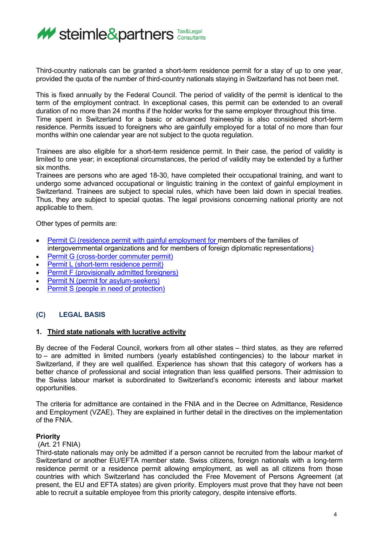

Third-country nationals can be granted a short-term residence permit for a stay of up to one year, provided the quota of the number of third-country nationals staying in Switzerland has not been met.

This is fixed annually by the Federal Council. The period of validity of the permit is identical to the term of the employment contract. In exceptional cases, this permit can be extended to an overall duration of no more than 24 months if the holder works for the same employer throughout this time. Time spent in Switzerland for a basic or advanced traineeship is also considered short-term residence. Permits issued to foreigners who are gainfully employed for a total of no more than four months within one calendar year are not subject to the quota regulation.

Trainees are also eligible for a short-term residence permit. In their case, the period of validity is limited to one year; in exceptional circumstances, the period of validity may be extended by a further six months.

Trainees are persons who are aged 18-30, have completed their occupational training, and want to undergo some advanced occupational or linguistic training in the context of gainful employment in Switzerland. Trainees are subject to special rules, which have been laid down in special treaties. Thus, they are subject to special quotas. The legal provisions concerning national priority are not applicable to them.

Other types of permits are:

- [Permit Ci \(residence permit with gainful employment for members of the families of](https://www.sem.admin.ch/sem/en/home/themen/aufenthalt/eu_efta/ausweis_ci_eu_efta.html)  [intergovernmental organizations and for members of foreign diplomatic representations\)](https://www.sem.admin.ch/sem/en/home/themen/aufenthalt/eu_efta/ausweis_ci_eu_efta.html)
- [Permit G \(cross-border commuter permit\)](https://www.sem.admin.ch/sem/en/home/themen/aufenthalt/eu_efta/ausweis_g_eu_efta.html)
- [Permit L \(short-term residence permit\)](https://www.sem.admin.ch/sem/en/home/themen/aufenthalt/eu_efta/ausweis_l_eu_efta.html)
- [Permit F \(provisionally admitted foreigners\)](https://www.sem.admin.ch/sem/en/home/themen/aufenthalt/nicht_eu_efta/ausweis_f__vorlaeufig.html)
- **[Permit N \(permit for asylum-seekers\)](https://www.sem.admin.ch/sem/en/home/themen/aufenthalt/nicht_eu_efta/ausweis_n__asylsuchende.html)**
- [Permit S \(people in need of protection\)](https://www.sem.admin.ch/sem/en/home/themen/aufenthalt/nicht_eu_efta/ausweis_s__schutzbeduerftige.html)

# **(C) LEGAL BASIS**

### **1. Third state nationals with lucrative activity**

By decree of the Federal Council, workers from all other states – third states, as they are referred to – are admitted in limited numbers (yearly established contingencies) to the labour market in Switzerland, if they are well qualified. Experience has shown that this category of workers has a better chance of professional and social integration than less qualified persons. Their admission to the Swiss labour market is subordinated to Switzerland's economic interests and labour market opportunities.

The criteria for admittance are contained in the FNIA and in the Decree on Admittance, Residence and Employment (VZAE). They are explained in further detail in the directives on the implementation of the FNIA.

### **Priority**

### (Art. 21 FNIA)

Third-state nationals may only be admitted if a person cannot be recruited from the labour market of Switzerland or another EU/EFTA member state. Swiss citizens, foreign nationals with a long-term residence permit or a residence permit allowing employment, as well as all citizens from those countries with which Switzerland has concluded the Free Movement of Persons Agreement (at present, the EU and EFTA states) are given priority. Employers must prove that they have not been able to recruit a suitable employee from this priority category, despite intensive efforts.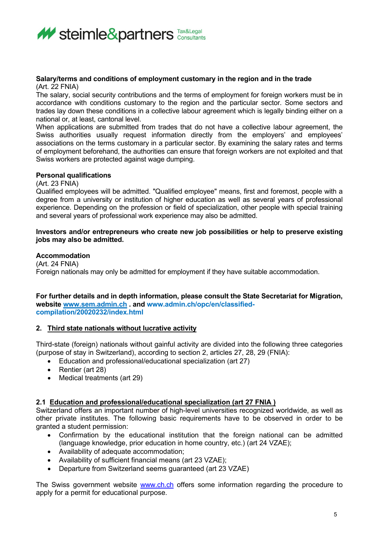

#### **Salary/terms and conditions of employment customary in the region and in the trade**  (Art. 22 FNIA)

The salary, social security contributions and the terms of employment for foreign workers must be in accordance with conditions customary to the region and the particular sector. Some sectors and trades lay down these conditions in a collective labour agreement which is legally binding either on a national or, at least, cantonal level.

When applications are submitted from trades that do not have a collective labour agreement, the Swiss authorities usually request information directly from the employers' and employees' associations on the terms customary in a particular sector. By examining the salary rates and terms of employment beforehand, the authorities can ensure that foreign workers are not exploited and that Swiss workers are protected against wage dumping.

## **Personal qualifications**

(Art. 23 FNIA)

Qualified employees will be admitted. "Qualified employee" means, first and foremost, people with a degree from a university or institution of higher education as well as several years of professional experience. Depending on the profession or field of specialization, other people with special training and several years of professional work experience may also be admitted.

### **Investors and/or entrepreneurs who create new job possibilities or help to preserve existing jobs may also be admitted.**

## **Accommodation**

(Art. 24 FNIA) Foreign nationals may only be admitted for employment if they have suitable accommodation.

### **For further details and in depth information, please consult the State Secretariat for Migration, website [www.sem.admin.ch](http://www.sem.admin.ch/) . and www.admin.ch/opc/en/classifiedcompilation/20020232/index.html**

## **2. Third state nationals without lucrative activity**

Third-state (foreign) nationals without gainful activity are divided into the following three categories (purpose of stay in Switzerland), according to section 2, articles 27, 28, 29 (FNIA):

- Education and professional/educational specialization (art 27)
- Rentier (art 28)
- Medical treatments (art 29)

## **2.1 Education and professional/educational specialization (art 27 FNIA )**

Switzerland offers an important number of high-level universities recognized worldwide, as well as other private institutes. The following basic requirements have to be observed in order to be granted a student permission:

- Confirmation by the educational institution that the foreign national can be admitted (language knowledge, prior education in home country, etc.) (art 24 VZAE);
- Availability of adequate accommodation;
- Availability of sufficient financial means (art 23 VZAE);
- Departure from Switzerland seems guaranteed (art 23 VZAE)

The Swiss government website [www.ch.ch](http://www.ch.ch/) offers some information regarding the procedure to apply for a permit for educational purpose.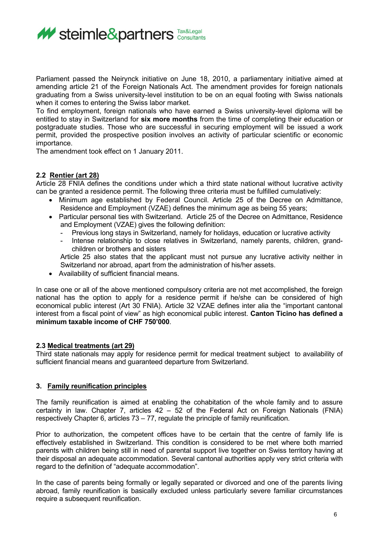

Parliament passed the Neirynck initiative on June 18, 2010, a parliamentary initiative aimed at amending article 21 of the Foreign Nationals Act. The amendment provides for foreign nationals graduating from a Swiss university-level institution to be on an equal footing with Swiss nationals when it comes to entering the Swiss labor market.

To find employment, foreign nationals who have earned a Swiss university-level diploma will be entitled to stay in Switzerland for **six more months** from the time of completing their education or postgraduate studies. Those who are successful in securing employment will be issued a work permit, provided the prospective position involves an activity of particular scientific or economic importance.

The amendment took effect on 1 January 2011.

## **2.2 Rentier (art 28)**

Article 28 FNIA defines the conditions under which a third state national without lucrative activity can be granted a residence permit. The following three criteria must be fulfilled cumulatively:

- Minimum age established by Federal Council. Article 25 of the Decree on Admittance, Residence and Employment (VZAE) defines the minimum age as being 55 years;
- Particular personal ties with Switzerland. Article 25 of the Decree on Admittance, Residence and Employment (VZAE) gives the following definition:
	- Previous long stays in Switzerland, namely for holidays, education or lucrative activity
	- Intense relationship to close relatives in Switzerland, namely parents, children, grandchildren or brothers and sisters

Article 25 also states that the applicant must not pursue any lucrative activity neither in Switzerland nor abroad, apart from the administration of his/her assets.

• Availability of sufficient financial means.

In case one or all of the above mentioned compulsory criteria are not met accomplished, the foreign national has the option to apply for a residence permit if he/she can be considered of high economical public interest (Art 30 FNIA). Article 32 VZAE defines inter alia the "important cantonal interest from a fiscal point of view" as high economical public interest. **Canton Ticino has defined a minimum taxable income of CHF 750'000**.

## **2.3 Medical treatments (art 29)**

Third state nationals may apply for residence permit for medical treatment subject to availability of sufficient financial means and guaranteed departure from Switzerland.

## **3. Family reunification principles**

The family reunification is aimed at enabling the cohabitation of the whole family and to assure certainty in law. Chapter 7, articles 42 – 52 of the Federal Act on Foreign Nationals (FNIA) respectively Chapter 6, articles 73 – 77, regulate the principle of family reunification.

Prior to authorization, the competent offices have to be certain that the centre of family life is effectively established in Switzerland. This condition is considered to be met where both married parents with children being still in need of parental support live together on Swiss territory having at their disposal an adequate accommodation. Several cantonal authorities apply very strict criteria with regard to the definition of "adequate accommodation".

In the case of parents being formally or legally separated or divorced and one of the parents living abroad, family reunification is basically excluded unless particularly severe familiar circumstances require a subsequent reunification.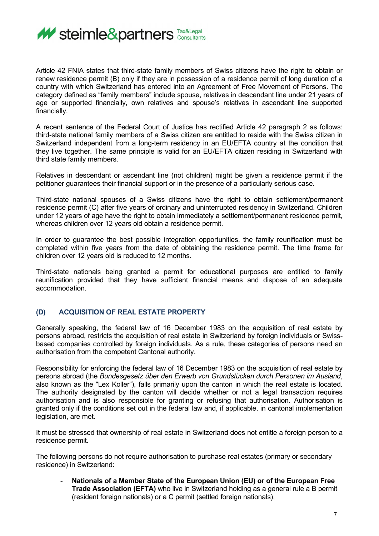

Article 42 FNIA states that third-state family members of Swiss citizens have the right to obtain or renew residence permit (B) only if they are in possession of a residence permit of long duration of a country with which Switzerland has entered into an Agreement of Free Movement of Persons. The category defined as "family members" include spouse, relatives in descendant line under 21 years of age or supported financially, own relatives and spouse's relatives in ascendant line supported financially.

A recent sentence of the Federal Court of Justice has rectified Article 42 paragraph 2 as follows: third-state national family members of a Swiss citizen are entitled to reside with the Swiss citizen in Switzerland independent from a long-term residency in an EU/EFTA country at the condition that they live together. The same principle is valid for an EU/EFTA citizen residing in Switzerland with third state family members.

Relatives in descendant or ascendant line (not children) might be given a residence permit if the petitioner guarantees their financial support or in the presence of a particularly serious case.

Third-state national spouses of a Swiss citizens have the right to obtain settlement/permanent residence permit (C) after five years of ordinary and uninterrupted residency in Switzerland. Children under 12 years of age have the right to obtain immediately a settlement/permanent residence permit, whereas children over 12 years old obtain a residence permit.

In order to guarantee the best possible integration opportunities, the family reunification must be completed within five years from the date of obtaining the residence permit. The time frame for children over 12 years old is reduced to 12 months.

Third-state nationals being granted a permit for educational purposes are entitled to family reunification provided that they have sufficient financial means and dispose of an adequate accommodation.

## **(D) ACQUISITION OF REAL ESTATE PROPERTY**

Generally speaking, the federal law of 16 December 1983 on the acquisition of real estate by persons abroad, restricts the acquisition of real estate in Switzerland by foreign individuals or Swissbased companies controlled by foreign individuals. As a rule, these categories of persons need an authorisation from the competent Cantonal authority.

Responsibility for enforcing the federal law of 16 December 1983 on the acquisition of real estate by persons abroad (the *Bundesgesetz über den Erwerb von Grundstücken durch Personen im Ausland*, also known as the "Lex Koller"), falls primarily upon the canton in which the real estate is located. The authority designated by the canton will decide whether or not a legal transaction requires authorisation and is also responsible for granting or refusing that authorisation. Authorisation is granted only if the conditions set out in the federal law and, if applicable, in cantonal implementation legislation, are met.

It must be stressed that ownership of real estate in Switzerland does not entitle a foreign person to a residence permit.

The following persons do not require authorisation to purchase real estates (primary or secondary residence) in Switzerland:

- **Nationals of a Member State of the European Union (EU) or of the European Free Trade Association (EFTA)** who live in Switzerland holding as a general rule a B permit (resident foreign nationals) or a C permit (settled foreign nationals),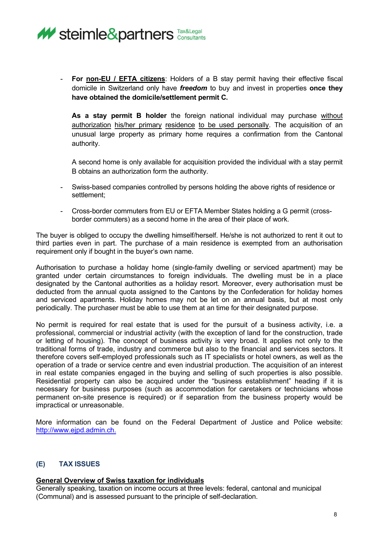

**For non-EU / EFTA citizens:** Holders of a B stay permit having their effective fiscal domicile in Switzerland only have *freedom* to buy and invest in properties **once they have obtained the domicile/settlement permit C.** 

**As a stay permit B holder** the foreign national individual may purchase without authorization his/her primary residence to be used personally. The acquisition of an unusual large property as primary home requires a confirmation from the Cantonal authority.

A second home is only available for acquisition provided the individual with a stay permit B obtains an authorization form the authority.

- Swiss-based companies controlled by persons holding the above rights of residence or settlement;
- Cross-border commuters from EU or EFTA Member States holding a G permit (crossborder commuters) as a second home in the area of their place of work.

The buyer is obliged to occupy the dwelling himself/herself. He/she is not authorized to rent it out to third parties even in part. The purchase of a main residence is exempted from an authorisation requirement only if bought in the buyer's own name.

Authorisation to purchase a holiday home (single-family dwelling or serviced apartment) may be granted under certain circumstances to foreign individuals. The dwelling must be in a place designated by the Cantonal authorities as a holiday resort. Moreover, every authorisation must be deducted from the annual quota assigned to the Cantons by the Confederation for holiday homes and serviced apartments. Holiday homes may not be let on an annual basis, but at most only periodically. The purchaser must be able to use them at an time for their designated purpose.

No permit is required for real estate that is used for the pursuit of a business activity, i.e. a professional, commercial or industrial activity (with the exception of land for the construction, trade or letting of housing). The concept of business activity is very broad. It applies not only to the traditional forms of trade, industry and commerce but also to the financial and services sectors. It therefore covers self-employed professionals such as IT specialists or hotel owners, as well as the operation of a trade or service centre and even industrial production. The acquisition of an interest in real estate companies engaged in the buying and selling of such properties is also possible. Residential property can also be acquired under the "business establishment" heading if it is necessary for business purposes (such as accommodation for caretakers or technicians whose permanent on-site presence is required) or if separation from the business property would be impractical or unreasonable.

More information can be found on the Federal Department of Justice and Police website: [http://www.ejpd.admin.ch.](http://www.ejpd.admin.ch./)

# **(E) TAX ISSUES**

### **General Overview of Swiss taxation for individuals**

Generally speaking, taxation on income occurs at three levels: federal, cantonal and municipal (Communal) and is assessed pursuant to the principle of self-declaration.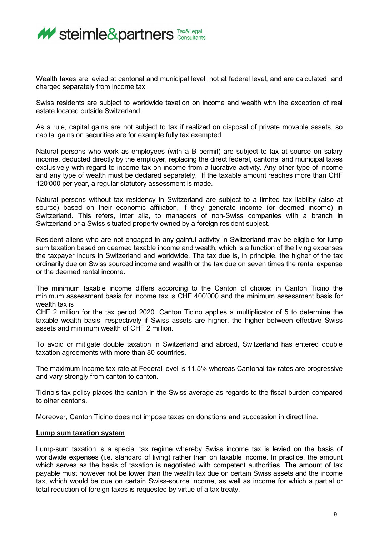

Wealth taxes are levied at cantonal and municipal level, not at federal level, and are calculated and charged separately from income tax.

Swiss residents are subject to worldwide taxation on income and wealth with the exception of real estate located outside Switzerland.

As a rule, capital gains are not subject to tax if realized on disposal of private movable assets, so capital gains on securities are for example fully tax exempted.

Natural persons who work as employees (with a B permit) are subject to tax at source on salary income, deducted directly by the employer, replacing the direct federal, cantonal and municipal taxes exclusively with regard to income tax on income from a lucrative activity. Any other type of income and any type of wealth must be declared separately. If the taxable amount reaches more than CHF 120'000 per year, a regular statutory assessment is made.

Natural persons without tax residency in Switzerland are subject to a limited tax liability (also at source) based on their economic affiliation, if they generate income (or deemed income) in Switzerland. This refers, inter alia, to managers of non-Swiss companies with a branch in Switzerland or a Swiss situated property owned by a foreign resident subject.

Resident aliens who are not engaged in any gainful activity in Switzerland may be eligible for lump sum taxation based on deemed taxable income and wealth, which is a function of the living expenses the taxpayer incurs in Switzerland and worldwide. The tax due is, in principle, the higher of the tax ordinarily due on Swiss sourced income and wealth or the tax due on seven times the rental expense or the deemed rental income.

The minimum taxable income differs according to the Canton of choice: in Canton Ticino the minimum assessment basis for income tax is CHF 400'000 and the minimum assessment basis for wealth tax is

CHF 2 million for the tax period 2020. Canton Ticino applies a multiplicator of 5 to determine the taxable wealth basis, respectively if Swiss assets are higher, the higher between effective Swiss assets and minimum wealth of CHF 2 million.

To avoid or mitigate double taxation in Switzerland and abroad, Switzerland has entered double taxation agreements with more than 80 countries.

The maximum income tax rate at Federal level is 11.5% whereas Cantonal tax rates are progressive and vary strongly from canton to canton.

Ticino's tax policy places the canton in the Swiss average as regards to the fiscal burden compared to other cantons.

Moreover, Canton Ticino does not impose taxes on donations and succession in direct line.

### **Lump sum taxation system**

Lump-sum taxation is a special tax regime whereby Swiss income tax is levied on the basis of worldwide expenses (i.e. standard of living) rather than on taxable income. In practice, the amount which serves as the basis of taxation is negotiated with competent authorities. The amount of tax payable must however not be lower than the wealth tax due on certain Swiss assets and the income tax, which would be due on certain Swiss-source income, as well as income for which a partial or total reduction of foreign taxes is requested by virtue of a tax treaty.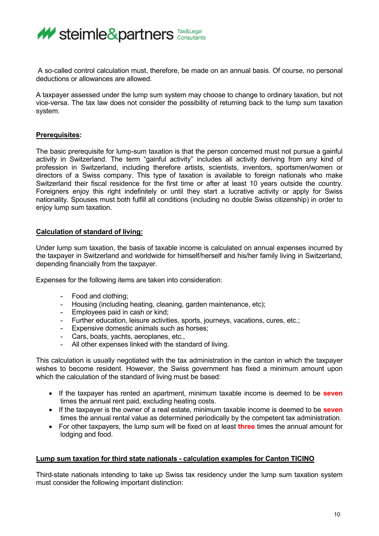

A so-called control calculation must, therefore, be made on an annual basis. Of course, no personal deductions or allowances are allowed.

A taxpayer assessed under the lump sum system may choose to change to ordinary taxation, but not vice-versa. The tax law does not consider the possibility of returning back to the lump sum taxation system.

### **Prerequisites:**

The basic prerequisite for lump-sum taxation is that the person concerned must not pursue a gainful activity in Switzerland. The term "gainful activity" includes all activity deriving from any kind of profession in Switzerland, including therefore artists, scientists, inventors, sportsmen/women or directors of a Swiss company. This type of taxation is available to foreign nationals who make Switzerland their fiscal residence for the first time or after at least 10 years outside the country. Foreigners enjoy this right indefinitely or until they start a lucrative activity or apply for Swiss nationality. Spouses must both fulfill all conditions (including no double Swiss citizenship) in order to enjoy lump sum taxation.

## **Calculation of standard of living:**

Under lump sum taxation, the basis of taxable income is calculated on annual expenses incurred by the taxpayer in Switzerland and worldwide for himself/herself and his/her family living in Switzerland, depending financially from the taxpayer.

Expenses for the following items are taken into consideration:

- Food and clothing;
- Housing (including heating, cleaning, garden maintenance, etc);
- Employees paid in cash or kind;
- Further education, leisure activities, sports, journeys, vacations, cures, etc.;
- Expensive domestic animals such as horses;
- Cars, boats, yachts, aeroplanes, etc.,<br>- All other expenses linked with the star
- All other expenses linked with the standard of living.

This calculation is usually negotiated with the tax administration in the canton in which the taxpayer wishes to become resident. However, the Swiss government has fixed a minimum amount upon which the calculation of the standard of living must be based:

- If the taxpayer has rented an apartment, minimum taxable income is deemed to be **seven** times the annual rent paid, excluding heating costs.
- If the taxpayer is the owner of a real estate, minimum taxable income is deemed to be **seven** times the annual rental value as determined periodically by the competent tax administration.
- For other taxpayers, the lump sum will be fixed on at least **three** times the annual amount for lodging and food.

### **Lump sum taxation for third state nationals - calculation examples for Canton TICINO**

Third-state nationals intending to take up Swiss tax residency under the lump sum taxation system must consider the following important distinction: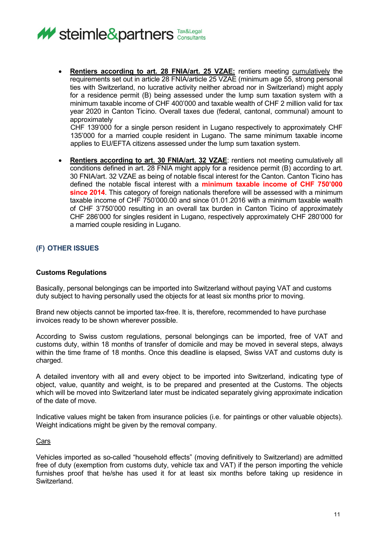

• **Rentiers according to art. 28 FNIA/art. 25 VZAE:** rentiers meeting cumulatively the requirements set out in article 28 FNIA/article 25 VZAE (minimum age 55, strong personal ties with Switzerland, no lucrative activity neither abroad nor in Switzerland) might apply for a residence permit (B) being assessed under the lump sum taxation system with a minimum taxable income of CHF 400'000 and taxable wealth of CHF 2 million valid for tax year 2020 in Canton Ticino. Overall taxes due (federal, cantonal, communal) amount to approximately

CHF 139'000 for a single person resident in Lugano respectively to approximately CHF 135'000 for a married couple resident in Lugano. The same minimum taxable income applies to EU/EFTA citizens assessed under the lump sum taxation system.

• **Rentiers according to art. 30 FNIA/art. 32 VZAE**: rentiers not meeting cumulatively all conditions defined in art. 28 FNIA might apply for a residence permit (B) according to art. 30 FNIA/art. 32 VZAE as being of notable fiscal interest for the Canton. Canton Ticino has defined the notable fiscal interest with a **minimum taxable income of CHF 750'000 since 2014**. This category of foreign nationals therefore will be assessed with a minimum taxable income of CHF 750'000.00 and since 01.01.2016 with a minimum taxable wealth of CHF 3'750'000 resulting in an overall tax burden in Canton Ticino of approximately CHF 286'000 for singles resident in Lugano, respectively approximately CHF 280'000 for a married couple residing in Lugano.

# **(F) OTHER ISSUES**

## **Customs Regulations**

Basically, personal belongings can be imported into Switzerland without paying VAT and customs duty subject to having personally used the objects for at least six months prior to moving.

Brand new objects cannot be imported tax-free. It is, therefore, recommended to have purchase invoices ready to be shown wherever possible.

According to Swiss custom regulations, personal belongings can be imported, free of VAT and customs duty, within 18 months of transfer of domicile and may be moved in several steps, always within the time frame of 18 months. Once this deadline is elapsed, Swiss VAT and customs duty is charged.

A detailed inventory with all and every object to be imported into Switzerland, indicating type of object, value, quantity and weight, is to be prepared and presented at the Customs. The objects which will be moved into Switzerland later must be indicated separately giving approximate indication of the date of move.

Indicative values might be taken from insurance policies (i.e. for paintings or other valuable objects). Weight indications might be given by the removal company.

### Cars

Vehicles imported as so-called "household effects" (moving definitively to Switzerland) are admitted free of duty (exemption from customs duty, vehicle tax and VAT) if the person importing the vehicle furnishes proof that he/she has used it for at least six months before taking up residence in Switzerland.